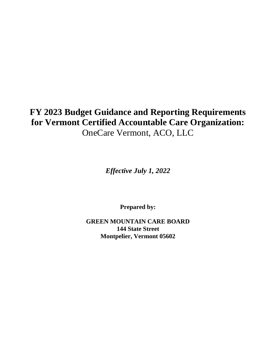# **FY 2023 Budget Guidance and Reporting Requirements for Vermont Certified Accountable Care Organization:**  OneCare Vermont, ACO, LLC

*Effective July 1, 2022*

**Prepared by:**

**GREEN MOUNTAIN CARE BOARD 144 State Street Montpelier, Vermont 05602**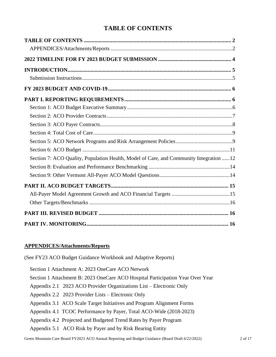# **TABLE OF CONTENTS**

<span id="page-1-0"></span>

| Section 7: ACO Quality, Population Health, Model of Care, and Community Integration 12 |  |
|----------------------------------------------------------------------------------------|--|
|                                                                                        |  |
|                                                                                        |  |
|                                                                                        |  |
|                                                                                        |  |
|                                                                                        |  |
|                                                                                        |  |
|                                                                                        |  |

### <span id="page-1-1"></span>**APPENDICES/Attachments/Reports**

(See FY23 ACO Budget Guidance Workbook and Adaptive Reports)

| Section 1 Attachment A: 2023 OneCare ACO Network                               |                                                                       |  |  |  |  |  |
|--------------------------------------------------------------------------------|-----------------------------------------------------------------------|--|--|--|--|--|
| Section 1 Attachment B: 2023 OneCare ACO Hospital Participation Year Over Year |                                                                       |  |  |  |  |  |
|                                                                                | Appendix 2.1 2023 ACO Provider Organizations List – Electronic Only   |  |  |  |  |  |
|                                                                                | Appendix 2.2 2023 Provider Lists – Electronic Only                    |  |  |  |  |  |
|                                                                                | Appendix 3.1 ACO Scale Target Initiatives and Program Alignment Forms |  |  |  |  |  |
|                                                                                | Appendix 4.1 TCOC Performance by Payer, Total ACO-Wide (2018-2023)    |  |  |  |  |  |
|                                                                                | Appendix 4.2 Projected and Budgeted Trend Rates by Payer Program      |  |  |  |  |  |
|                                                                                | Appendix 5.1 ACO Risk by Payer and by Risk Bearing Entity             |  |  |  |  |  |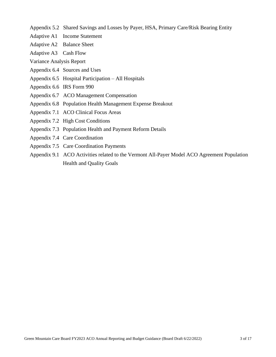- Appendix 5.2 Shared Savings and Losses by Payer, HSA, Primary Care/Risk Bearing Entity
- Adaptive A1 Income Statement
- Adaptive A2 Balance Sheet
- Adaptive A3 Cash Flow

Variance Analysis Report

- Appendix 6.4 Sources and Uses
- Appendix 6.5 Hospital Participation All Hospitals
- Appendix 6.6 IRS Form 990
- Appendix 6.7 ACO Management Compensation
- Appendix 6.8 Population Health Management Expense Breakout
- Appendix 7.1 ACO Clinical Focus Areas
- Appendix 7.2 High Cost Conditions
- Appendix 7.3 Population Health and Payment Reform Details
- Appendix 7.4 Care Coordination
- Appendix 7.5 Care Coordination Payments
- Appendix 9.1 ACO Activities related to the Vermont All-Payer Model ACO Agreement Population Health and Quality Goals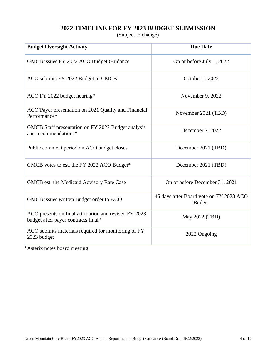### **2022 TIMELINE FOR FY 2023 BUDGET SUBMISSION**

(Subject to change)

<span id="page-3-0"></span>

| <b>Budget Oversight Activity</b>                                                             | <b>Due Date</b>                                          |
|----------------------------------------------------------------------------------------------|----------------------------------------------------------|
| GMCB issues FY 2022 ACO Budget Guidance                                                      | On or before July 1, 2022                                |
| ACO submits FY 2022 Budget to GMCB                                                           | October 1, 2022                                          |
| ACO FY 2022 budget hearing*                                                                  | November 9, 2022                                         |
| ACO/Payer presentation on 2021 Quality and Financial<br>Performance*                         | November 2021 (TBD)                                      |
| GMCB Staff presentation on FY 2022 Budget analysis<br>and recommendations*                   | December 7, 2022                                         |
| Public comment period on ACO budget closes                                                   | December 2021 (TBD)                                      |
| GMCB votes to est. the FY 2022 ACO Budget*                                                   | December 2021 (TBD)                                      |
| GMCB est. the Medicaid Advisory Rate Case                                                    | On or before December 31, 2021                           |
| GMCB issues written Budget order to ACO                                                      | 45 days after Board vote on FY 2023 ACO<br><b>Budget</b> |
| ACO presents on final attribution and revised FY 2023<br>budget after payer contracts final* | May 2022 (TBD)                                           |
| ACO submits materials required for monitoring of FY<br>2023 budget                           | 2022 Ongoing                                             |

\*Asterix notes board meeting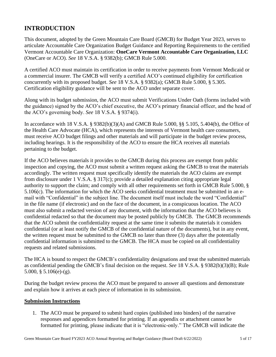### <span id="page-4-0"></span>**INTRODUCTION**

This document, adopted by the Green Mountain Care Board (GMCB) for Budget Year 2023, serves to articulate Accountable Care Organization Budget Guidance and Reporting Requirements to the certified Vermont Accountable Care Organization: **OneCare Vermont Accountable Care Organization, LLC** (OneCare or ACO). *See* 18 V.S.A. § 9382(b); GMCB Rule 5.000.

A certified ACO must maintain its certification in order to receive payments from Vermont Medicaid or a commercial insurer. The GMCB will verify a certified ACO's continued eligibility for certification concurrently with its proposed budget. *See* 18 V.S.A. § 9382(a); GMCB Rule 5.000, § 5.305. Certification eligibility guidance will be sent to the ACO under separate cover.

Along with its budget submission, the ACO must submit Verifications Under Oath (forms included with the guidance) signed by the ACO's chief executive, the ACO's primary financial officer, and the head of the ACO's governing body. *See* 18 V.S.A. § 9374(i).

In accordance with 18 V.S.A. § 9382(b)(3)(A) and GMCB Rule 5.000, §§ 5.105, 5.404(b), the Office of the Health Care Advocate (HCA), which represents the interests of Vermont health care consumers, must receive ACO budget filings and other materials and will participate in the budget review process, including hearings. It is the responsibility of the ACO to ensure the HCA receives all materials pertaining to the budget.

If the ACO believes materials it provides to the GMCB during this process are exempt from public inspection and copying, the ACO must submit a written request asking the GMCB to treat the materials accordingly. The written request must specifically identify the materials the ACO claims are exempt from disclosure under 1 V.S.A. § 317(c); provide a detailed explanation citing appropriate legal authority to support the claim; and comply with all other requirements set forth in GMCB Rule 5.000, § 5.106(c). The information for which the ACO seeks confidential treatment must be submitted in an email with "Confidential" in the subject line. The document itself must include the word "Confidential" in the file name (if electronic) and on the face of the document, in a conspicuous location. The ACO must also submit a redacted version of any document, with the information that the ACO believes is confidential redacted so that the document may be posted publicly by GMCB. The GMCB recommends that the ACO submit the confidentiality request at the same time it submits the materials it considers confidential (or at least notify the GMCB of the confidential nature of the documents), but in any event, the written request must be submitted to the GMCB no later than three (3) days after the potentially confidential information is submitted to the GMCB. The HCA must be copied on all confidentiality requests and related submissions.

The HCA is bound to respect the GMCB's confidentiality designations and treat the submitted materials as confidential pending the GMCB's final decision on the request. *See* 18 V.S.A. § 9382(b)(3)(B); Rule 5.000, § 5.106(e)-(g).

During the budget review process the ACO must be prepared to answer all questions and demonstrate and explain how it arrives at each piece of information in its submission.

#### <span id="page-4-1"></span>**Submission Instructions**

1. The ACO must be prepared to submit hard copies (published into binders) of the narrative responses and appendices formatted for printing. If an appendix or attachment cannot be formatted for printing, please indicate that it is "electronic-only." The GMCB will indicate the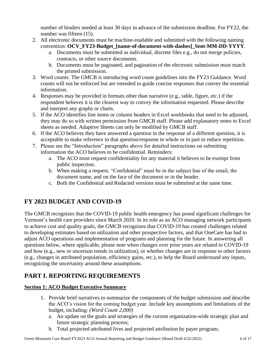number of binders needed at least 30 days in advance of the submission deadline. For FY22, the number was fifteen (15).

- 2. All electronic documents must be machine-readable and submitted with the following naming convention: **OCV\_FY23-Budget\_[name-of-document-with-dashes]\_Sent-MM-DD-YYYY**.
	- a. Documents must be submitted as individual, discrete files e.g., do not merge policies, contracts, or other source documents.
	- b. Documents must be paginated, and pagination of the electronic submission must match the printed submission.
- 3. Word counts: The GMCB is introducing word count guidelines into the FY23 Guidance. Word counts will not be enforced but are intended to guide concise responses that convey the essential information.
- 4. Responses may be provided in formats other than narrative (e.g., table, figure, etc.) if the respondent believes it is the clearest way to convey the information requested. Please describe and interpret any graphs or charts.
- 5. If the ACO identifies line items or column headers in Excel workbooks that need to be adjusted, they may do so with written permission from GMCB staff. Please add explanatory notes to Excel sheets as needed. Adaptive Sheets can only be modified by GMCB staff.
- 6. If the ACO believes they have answered a question in the response of a different question, it is acceptable to make reference to that question/response in whole or in part to reduce repetition.
- 7. Please see the "Introduction" paragraphs above for detailed instructions on submitting information the ACO believes to be confidential. Reminders:
	- a. The ACO must request confidentiality for any material it believes to be exempt from public inspection.
	- b. When making a request, "Confidential" must be in the subject line of the email, the document name, and on the face of the document or in the header.
	- c. Both the Confidential and Redacted versions must be submitted at the same time.

# <span id="page-5-0"></span>**FY 2023 BUDGET AND COVID-19**

The GMCB recognizes that the COVID-19 public health emergency has posed significant challenges for Vermont's health care providers since March 2020. In its role as an ACO managing network participants to achieve cost and quality goals, the GMCB recognizes that COVID-19 has created challenges related to developing estimates based on utilization and other prospective factors, and that OneCare has had to adjust ACO operations and implementation of programs and planning for the future. In answering all questions below, where applicable, please note when changes over prior years are related to COVID-19 and how (e.g., new or uncertain trends in utilization), or whether changes are in response to other factors (e.g., changes in attributed population, efficiency gains, etc.), to help the Board understand any inputs, recognizing the uncertainty around these assumptions.

# <span id="page-5-1"></span>**PART I. REPORTING REQUIREMENTS**

### <span id="page-5-2"></span>**Section 1: ACO Budget Executive Summary**

- 1. Provide brief narratives to summarize the components of the budget submission and describe the ACO's vision for the coming budget year. Include key assumptions and limitations of the budget, including: *(Word Count 2,000)*
	- a. An update on the goals and strategies of the current organization-wide strategic plan and future strategic planning process;
	- b. Total projected attributed lives and projected attribution by payer program;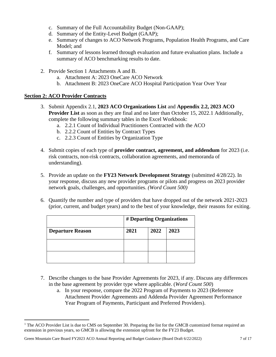- c. Summary of the Full Accountability Budget (Non-GAAP);
- d. Summary of the Entity-Level Budget (GAAP);
- e. Summary of changes to ACO Network Programs, Population Health Programs, and Care Model; and
- f. Summary of lessons learned through evaluation and future evaluation plans. Include a summary of ACO benchmarking results to date.
- 2. Provide Section 1 Attachments A and B.
	- a. Attachment A: 2023 OneCare ACO Network
	- b. Attachment B: 2023 OneCare ACO Hospital Participation Year Over Year

#### <span id="page-6-0"></span>**Section 2: ACO Provider Contracts**

- 3. Submit Appendix 2.1, **2023 ACO Organizations List** and **Appendix 2.2, 2023 ACO Provider List** as soon as they are final and no later than October 15, 2022.1 Additionally, complete the following summary tables in the Excel Workbook:
	- a. 2.2.1 Count of Individual Practitioners Contracted with the ACO
	- b. 2.2.2 Count of Entities by Contract Types
	- c. 2.2.3 Count of Entities by Organization Type
- 4. Submit copies of each type of **provider contract, agreement, and addendum** for 2023 (i.e. risk contracts, non-risk contracts, collaboration agreements, and memoranda of understanding).
- 5. Provide an update on the **FY23 Network Development Strategy** (submitted 4/28/22). In your response, discuss any new provider programs or pilots and progress on 2023 provider network goals, challenges, and opportunities. *(Word Count 500)*
- 6. Quantify the number and type of providers that have dropped out of the network 2021-2023 (prior, current, and budget years) and to the best of your knowledge, their reasons for exiting.

|                         | # Departing Organizations |      |      |  |  |  |
|-------------------------|---------------------------|------|------|--|--|--|
| <b>Departure Reason</b> | 2021                      | 2022 | 2023 |  |  |  |
|                         |                           |      |      |  |  |  |
|                         |                           |      |      |  |  |  |

- 7. Describe changes to the base Provider Agreements for 2023, if any. Discuss any differences in the base agreement by provider type where applicable. (*Word Count 500*)
	- a. In your response, compare the 2022 Program of Payments to 2023 (Reference Attachment Provider Agreements and Addenda Provider Agreement Performance Year Program of Payments, Participant and Preferred Providers).

Green Mountain Care Board FY2023 ACO Annual Reporting and Budget Guidance (Board Draft 6/22/2022) 7 of 17

<sup>&</sup>lt;sup>1</sup> The ACO Provider List is due to CMS on September 30. Preparing the list for the GMCB customized format required an extension in previous years, so GMCB is allowing the extension upfront for the FY23 Budget.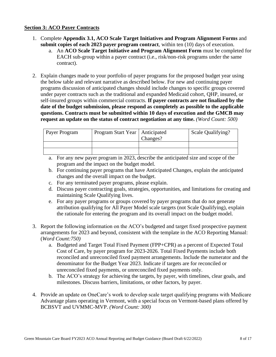#### <span id="page-7-0"></span>**Section 3: ACO Payer Contracts**

- 1. Complete **Appendix 3.1, ACO Scale Target Initiatives and Program Alignment Forms** and **submit copies of each 2023 payer program contract**, within ten (10) days of execution.
	- a. An **ACO Scale Target Initiative and Program Alignment Form** must be completed for EACH sub-group within a payer contract (i.e., risk/non-risk programs under the same contract).
- 2. Explain changes made to your portfolio of payer programs for the proposed budget year using the below table and relevant narrative as described below. For new and continuing payer programs discussion of anticipated changes should include changes to specific groups covered under payer contracts such as the traditional and expanded Medicaid cohort, QHP, insured, or self-insured groups within commercial contracts. **If payer contracts are not finalized by the date of the budget submission, please respond as completely as possible to the applicable questions. Contracts must be submitted within 10 days of execution and the GMCB may request an update on the status of contract negotiation at any time.** *(Word Count: 500)*

| <b>Payer Program</b> | Program Start Year   Anticipated | Changes? | Scale Qualifying? |
|----------------------|----------------------------------|----------|-------------------|
|                      |                                  |          |                   |
|                      |                                  |          |                   |

a. For any new payer program in 2023, describe the anticipated size and scope of the program and the impact on the budget model.

- b. For continuing payer programs that have Anticipated Changes, explain the anticipated changes and the overall impact on the budget.
- c. For any terminated payer programs, please explain.
- d. Discuss payer contracting goals, strategies, opportunities, and limitations for creating and maintaining Scale Qualifying lives.
- e. For any payer programs or groups covered by payer programs that do not generate attribution qualifying for All Payer Model scale targets (not Scale Qualifying), explain the rationale for entering the program and its overall impact on the budget model.
- 3. Report the following information on the ACO's budgeted and target fixed prospective payment arrangements for 2023 and beyond, consistent with the template in the ACO Reporting Manual: (*Word Count:750)*
	- a. Budgeted and Target Total Fixed Payment (FPP+CPR) as a percent of Expected Total Cost of Care, by payer program for 2023-2026. Total Fixed Payments include both reconciled and unreconciled fixed payment arrangements. Include the numerator and the denominator for the Budget Year 2023. Indicate if targets are for reconciled or unreconciled fixed payments, or unreconciled fixed payments only.
	- b. The ACO's strategy for achieving the targets, by payer, with timelines, clear goals, and milestones. Discuss barriers, limitations, or other factors, by payer.
- 4. Provide an update on OneCare's work to develop scale target qualifying programs with Medicare Advantage plans operating in Vermont, with a special focus on Vermont-based plans offered by BCBSVT and UVMMC-MVP. *(Word Count: 300)*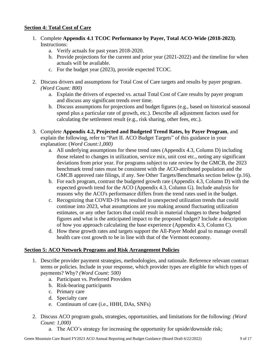#### <span id="page-8-0"></span>**Section 4: Total Cost of Care**

- 1. Complete **Appendix 4.1 TCOC Performance by Payer, Total ACO-Wide (2018-2023)**. Instructions:
	- a. Verify actuals for past years 2018-2020.
	- b. Provide projections for the current and prior year (2021-2022) and the timeline for when actuals will be available.
	- c. For the budget year (2023), provide expected TCOC.
- 2. Discuss drivers and assumptions for Total Cost of Care targets and results by payer program. *(Word Count: 800)*
	- a. Explain the drivers of expected vs. actual Total Cost of Care results by payer program and discuss any significant trends over time.
	- b. Discuss assumptions for projections and budget figures (e.g., based on historical seasonal spend plus a particular rate of growth, etc.). Describe all adjustment factors used for calculating the settlement result (e.g., risk sharing, other fees, etc.).
- 3. Complete **Appendix 4.2, Projected and Budgeted Trend Rates, by Payer Program**, and explain the following, refer to "Part II. ACO Budget Targets" of this guidance in your explanation: (*Word Count:1,000)*
	- a. All underlying assumptions for these trend rates (Appendix 4.3, Column D) including those related to changes in utilization, service mix, unit cost etc., noting any significant deviations from prior year. For programs subject to rate review by the GMCB, the 2023 benchmark trend rates must be consistent with the ACO-attributed population and the GMCB approved rate filings, if any. See Other Targets/Benchmarks section below (p.16).
	- b. For each program, contrast the budgeted growth rate (Appendix 4.3, Column D) with the expected growth trend for the ACO (Appendix 4.3, Column G). Include analysis for reasons why the ACO's performance differs from the trend rates used in the budget.
	- c. Recognizing that COVID-19 has resulted in unexpected utilization trends that could continue into 2023, what assumptions are you making around fluctuating utilization estimates, or any other factors that could result in material changes to these budgeted figures and what is the anticipated impact to the proposed budget? Include a description of how you approach calculating the base experience (Appendix 4.3, Column C).
	- d. How these growth rates and targets support the All-Payer Model goal to manage overall health care cost growth to be in line with that of the Vermont economy.

#### <span id="page-8-1"></span>**Section 5: ACO Network Programs and Risk Arrangement Policies**

- 1. Describe provider payment strategies, methodologies, and rationale. Reference relevant contract terms or policies. Include in your response, which provider types are eligible for which types of payments? Why? *(Word Count: 500)*
	- a. Participant vs. Preferred Providers
	- b. Risk-bearing participants
	- c. Primary care
	- d. Specialty care
	- e. Continuum of care (i.e., HHH, DAs, SNFs)
- 2. Discuss ACO program goals, strategies, opportunities, and limitations for the following: *(Word Count: 1,000)*
	- a. The ACO's strategy for increasing the opportunity for upside/downside risk;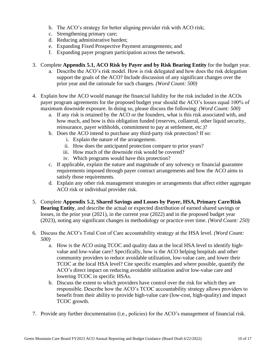- b. The ACO's strategy for better aligning provider risk with ACO risk;
- c. Strengthening primary care;
- d. Reducing administrative burden;
- e. Expanding Fixed Prospective Payment arrangements; and
- f. Expanding payer program participation across the network.
- 3. Complete **Appendix 5.1, ACO Risk by Payer and by Risk Bearing Entity** for the budget year.
	- a. Describe the ACO's risk model. How is risk delegated and how does the risk delegation support the goals of the ACO? Include discussion of any significant changes over the prior year and the rationale for such changes. *(Word Count: 500)*
- 4. Explain how the ACO would manage the financial liability for the risk included in the ACOs payer program agreements for the proposed budget year should the ACO's losses equal 100% of maximum downside exposure. In doing so, please discuss the following: *(Word Count: 500)*
	- a. If any risk is retained by the ACO or the founders, what is this risk associated with, and how much, and how is this obligation funded (reserves, collateral, other liquid security, reinsurance, payer withholds, commitment to pay at settlement, etc.)?
	- b. Does the ACO intend to purchase any third-party risk protection? If so:
		- i. Explain the nature of the arrangement.
		- ii. How does the anticipated protection compare to prior years?
		- iii. How much of the downside risk would be covered?
		- iv. Which programs would have this protection?
	- c. If applicable, explain the nature and magnitude of any solvency or financial guarantee requirements imposed through payer contract arrangements and how the ACO aims to satisfy those requirements.
	- d. Explain any other risk management strategies or arrangements that affect either aggregate ACO risk or individual provider risk.
- 5. Complete **Appendix 5.2, Shared Savings and Losses by Payer, HSA, Primary Care/Risk Bearing Entity**, and describe the actual or expected distribution of earned shared savings or losses, in the prior year (2021), in the current year (2022) and in the proposed budget year (2023), noting any significant changes in methodology or practice over time. *(Word Count: 250)*
- 6. Discuss the ACO's Total Cost of Care accountability strategy at the HSA level. *(Word Count: 500)*
	- a. How is the ACO using TCOC and quality data at the local HSA level to identify highvalue and low-value care? Specifically, how is the ACO helping hospitals and other community providers to reduce avoidable utilization, low-value care, and lower their TCOC at the local HSA level? Cite specific examples and where possible, quantify the ACO's direct impact on reducing avoidable utilization and/or low-value care and lowering TCOC in specific HSAs.
	- b. Discuss the extent to which providers have control over the risk for which they are responsible. Describe how the ACO's TCOC accountability strategy allows providers to benefit from their ability to provide high-value care (low-cost, high-quality) and impact TCOC growth.
- 7. Provide any further documentation (i.e., policies) for the ACO's management of financial risk.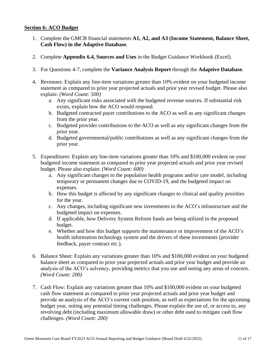#### <span id="page-10-0"></span>**Section 6: ACO Budget**

- 1. Complete the GMCB financial statements **A1, A2, and A3 (Income Statement, Balance Sheet, Cash Flow) in the Adaptive Database**.
- 2. Complete **Appendix 6.4, Sources and Uses** in the Budget Guidance Workbook (Excel).
- 3. For Questions 4-7, complete the **Variance Analysis Report** through the **Adaptive Database**.
- 4. Revenues: Explain any line-item variations greater than 10% evident on your budgeted income statement as compared to prior year projected actuals and prior year revised budget. Please also explain: *(Word Count: 500)*
	- a. Any significant risks associated with the budgeted revenue sources. If substantial risk exists, explain how the ACO would respond.
	- b. Budgeted contracted payer contributions to the ACO as well as any significant changes from the prior year.
	- c. Budgeted provider contributions to the ACO as well as any significant changes from the prior year.
	- d. Budgeted governmental/public contributions as well as any significant changes from the prior year.
- 5. Expenditures: Explain any line-item variations greater than 10% and \$100,000 evident on your budgeted income statement as compared to prior year projected actuals and prior year revised budget. Please also explain: *(Word Count: 600)*
	- a. Any significant changes to the population health programs and/or care model, including temporary or permanent changes due to COVID-19, and the budgeted impact on expenses.
	- b. How this budget is affected by any significant changes to clinical and quality priorities for the year.
	- c. Any changes, including significant new investments to the ACO's infrastructure and the budgeted impact on expenses.
	- d. If applicable, how Delivery System Reform funds are being utilized in the proposed budget.
	- e. Whether and how this budget supports the maintenance or improvement of the ACO's health information technology system and the drivers of these investments (provider feedback, payer contract etc.).
- 6. Balance Sheet: Explain any variations greater than 10% and \$100,000 evident on your budgeted balance sheet as compared to prior year projected actuals and prior year budget and provide an analysis of the ACO's solvency, providing metrics that you use and noting any areas of concern. *(Word Count: 200)*
- 7. Cash Flow: Explain any variations greater than 10% and \$100,000 evident on your budgeted cash flow statement as compared to prior year projected actuals and prior year budget and provide an analysis of the ACO's current cash position, as well as expectations for the upcoming budget year, noting any potential timing challenges. Please explain the use of, or access to, any revolving debt (including maximum allowable draw) or other debt used to mitigate cash flow challenges. *(Word Count: 200)*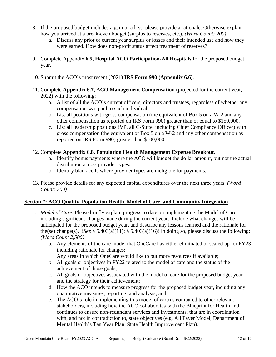- 8. If the proposed budget includes a gain or a loss, please provide a rationale. Otherwise explain how you arrived at a break-even budget (surplus to reserves, etc.). *(Word Count: 200)*
	- a. Discuss any prior or current year surplus or losses and their intended use and how they were earned. How does non-profit status affect treatment of reserves?
- 9. Complete Appendix **6.5, Hospital ACO Participation-All Hospitals** for the proposed budget year.
- 10. Submit the ACO's most recent (2021) **IRS Form 990 (Appendix 6.6)**.
- 11. Complete **Appendix 6.7, ACO Management Compensation** (projected for the current year, 2022) with the following:
	- a. A list of all the ACO's current officers, directors and trustees, regardless of whether any compensation was paid to such individuals.
	- b. List all positions with gross compensation (the equivalent of Box 5 on a W-2 and any other compensation as reported on IRS Form 990) greater than or equal to \$150,000.
	- c. List all leadership positions (VP, all C-Suite, including Chief Compliance Officer) with gross compensation (the equivalent of Box 5 on a W-2 and any other compensation as reported on IRS Form 990) greater than \$100,000.
- 12. Complete **Appendix 6.8, Population Health Management Expense Breakout**.
	- a. Identify bonus payments where the ACO will budget the dollar amount, but not the actual distribution across provider types.
	- b. Identify blank cells where provider types are ineligible for payments.
- 13. Please provide details for any expected capital expenditures over the next three years. *(Word Count: 200)*

#### <span id="page-11-0"></span>**Section 7: ACO Quality, Population Health, Model of Care, and Community Integration**

- 1. *Model of Care*. Please briefly explain progress to date on implementing the Model of Care, including significant changes made during the current year. Include what changes will be anticipated for the proposed budget year, and describe any lessons learned and the rationale for the(se) change(s). (*See* § 5.403(a)(11); § 5.403(a)(16)) In doing so, please discuss the following: *(Word Count 2,500)*
	- a. Any elements of the care model that OneCare has either eliminated or scaled up for FY23 including rationale for changes;
		- Any areas in which OneCare would like to put more resources if available;
	- b. All goals or objectives in PY22 related to the model of care and the status of the achievement of those goals;
	- c. All goals or objectives associated with the model of care for the proposed budget year and the strategy for their achievement;
	- d. How the ACO intends to measure progress for the proposed budget year, including any quantitative measures, reporting, and analysis; and
	- e. The ACO's role in implementing this model of care as compared to other relevant stakeholders, including how the ACO collaborates with the Blueprint for Health and continues to ensure non-redundant services and investments, that are in coordination with, and not in contradiction to, state objectives (e.g. All Payer Model, Department of Mental Health's Ten Year Plan, State Health Improvement Plan).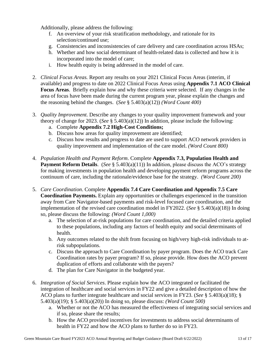Additionally, please address the following:

- f. An overview of your risk stratification methodology, and rationale for its selection/continued use;
- g. Consistencies and inconsistencies of care delivery and care coordination across HSAs;
- h. Whether and how social determinant of health-related data is collected and how it is incorporated into the model of care;
- i. How health equity is being addressed in the model of care.
- 2. *Clinical Focus Areas.* Report any results on your 2021 Clinical Focus Areas (interim, if available) and progress to date on 2022 Clinical Focus Areas using **Appendix 7.1 ACO Clinical Focus Areas**. Briefly explain how and why these criteria were selected. If any changes in the area of focus have been made during the current program year, please explain the changes and the reasoning behind the changes. (*See* § 5.403(a)(12)) *(Word Count 400)*
- 3. *Quality Improvement.* Describe any changes to your quality improvement framework and your theory of change for 2023. (*See* § 5.403(a)(12)) In addition, please include the following:
	- a. Complete **Appendix 7.2 High-Cost Conditions;**
	- b. Discuss how areas for quality improvement are identified;
	- c. Discuss how results and progress to date are used to support ACO network providers in quality improvement and implementation of the care model. *(Word Count 800)*
- 4. *Population Health and Payment Reform*. Complete **Appendix 7.3, Population Health and Payment Reform Details.** (*See* § 5.403(a)(11)) In addition, please discuss the ACO's strategy for making investments in population health and developing payment reform programs across the continuum of care, including the rationale/evidence base for the strategy. *(Word Count 200)*
- 5. *Care Coordination*. Complete **Appendix 7.4 Care Coordination and Appendix 7.5 Care Coordination Payments.** Explain any opportunities or challenges experienced in the transition away from Care Navigator-based payments and risk-level focused care coordination, and the implementation of the revised care coordination model in FY2022. (*See* § 5.403(a)(18)) In doing so, please discuss the following: *(Word Count 1,000)*
	- a. The selection of at-risk populations for care coordination, and the detailed criteria applied to these populations, including any factors of health equity and social determinants of health.
	- b. Any outcomes related to the shift from focusing on high/very high-risk individuals to atrisk subpopulations.
	- c. Discuss the approach to Care Coordination by payer program. Does the ACO track Care Coordination rates by payer program? If so, please provide. How does the ACO prevent duplication of efforts and collaborate with the payers?
	- d. The plan for Care Navigator in the budgeted year.
- 6. *Integration of Social Services*. Please explain how the ACO integrated or facilitated the integration of healthcare and social services in FY22 and give a detailed description of how the ACO plans to further integrate healthcare and social services in FY23. (*See* § 5.403(a)(18); § 5.403(a)(19); § 5.403(a)(20)) In doing so, please discuss: *(Word Count 500)*
	- a. Whether or not the ACO has measured the effectiveness of integrating social services and if so, please share the results;
	- b. How the ACO provided incentives for investments to address social determinants of health in FY22 and how the ACO plans to further do so in FY23.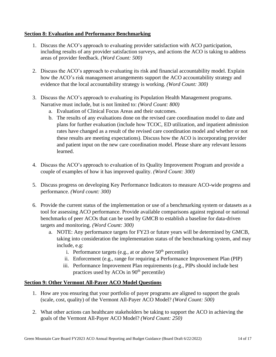#### <span id="page-13-0"></span>**Section 8: Evaluation and Performance Benchmarking**

- 1. Discuss the ACO's approach to evaluating provider satisfaction with ACO participation, including results of any provider satisfaction surveys, and actions the ACO is taking to address areas of provider feedback. *(Word Count: 500)*
- 2. Discuss the ACO's approach to evaluating its risk and financial accountability model. Explain how the ACO's risk management arrangements support the ACO accountability strategy and evidence that the local accountability strategy is working. *(Word Count: 300)*
- 3. Discuss the ACO's approach to evaluating its Population Health Management programs. Narrative must include, but is not limited to: *(Word Count: 800)*
	- a. Evaluation of Clinical Focus Areas and their outcomes.
	- b. The results of any evaluations done on the revised care coordination model to date and plans for further evaluation (include how TCOC, ED utilization, and inpatient admission rates have changed as a result of the revised care coordination model and whether or not these results are meeting expectations). Discuss how the ACO is incorporating provider and patient input on the new care coordination model. Please share any relevant lessons learned.
- 4. Discuss the ACO's approach to evaluation of its Quality Improvement Program and provide a couple of examples of how it has improved quality. *(Word Count: 300)*
- 5. Discuss progress on developing Key Performance Indicators to measure ACO-wide progress and performance. *(Word count: 300)*
- 6. Provide the current status of the implementation or use of a benchmarking system or datasets as a tool for assessing ACO performance. Provide available comparisons against regional or national benchmarks of peer ACOs that can be used by GMCB to establish a baseline for data-driven targets and monitoring. *(Word Count: 300)*
	- a. NOTE: Any performance targets for FY23 or future years will be determined by GMCB, taking into consideration the implementation status of the benchmarking system, and may include, e.g:
		- i. Performance targets (e.g., at or above  $50<sup>th</sup>$  percentile)
		- ii. Enforcement (e.g., range for requiring a Performance Improvement Plan (PIP)
		- iii. Performance Improvement Plan requirements (e.g., PIPs should include best practices used by  $ACOs$  in  $90<sup>th</sup>$  percentile)

#### <span id="page-13-1"></span>**Section 9: Other Vermont All-Payer ACO Model Questions**

- 1. How are you ensuring that your portfolio of payer programs are aligned to support the goals (scale, cost, quality) of the Vermont All-Payer ACO Model? *(Word Count: 500)*
- 2. What other actions can healthcare stakeholders be taking to support the ACO in achieving the goals of the Vermont All-Payer ACO Model? *(Word Count: 250)*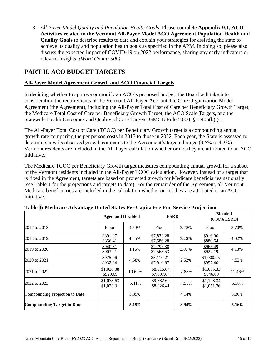3. *All Payer Model Quality and Population Health Goals*. Please complete **Appendix 9.1, ACO Activities related to the Vermont All-Payer Model ACO Agreement Population Health and Quality Goals** to describe results to date and explain your strategies for assisting the state to achieve its quality and population health goals as specified in the APM. In doing so, please also discuss the expected impact of COVID-19 on 2022 performance, sharing any early indicators or relevant insights. *(Word Count: 500)*

### <span id="page-14-0"></span>**PART II. ACO BUDGET TARGETS**

### <span id="page-14-1"></span>**All-Payer Model Agreement Growth and ACO Financial Targets**

In deciding whether to approve or modify an ACO's proposed budget, the Board will take into consideration the requirements of the Vermont All-Payer Accountable Care Organization Model Agreement (the Agreement), including the All-Payer Total Cost of Care per Beneficiary Growth Target, the Medicare Total Cost of Care per Beneficiary Growth Target, the ACO Scale Targets, and the Statewide Health Outcomes and Quality of Care Targets. GMCB Rule 5.000, § 5.405(b),(c).

The All-Payer Total Cost of Care (TCOC) per Beneficiary Growth target is a compounding annual growth rate comparing the per person costs in 2017 to those in 2022. Each year, the State is assessed to determine how its observed growth compares to the Agreement's targeted range (3.5% to 4.3%). Vermont residents are included in the All-Payer calculation whether or not they are attributed to an ACO Initiative.

The Medicare TCOC per Beneficiary Growth target measures compounding annual growth for a subset of the Vermont residents included in the All-Payer TCOC calculation. However, instead of a target that is fixed in the Agreement, targets are based on projected growth for Medicare beneficiaries nationally (see Table 1 for the projections and targets to date). For the remainder of the Agreement, all Vermont Medicare beneficiaries are included in the calculation whether or not they are attributed to an ACO Initiative.

|                                   | Tuble 1: Medical extra fundaçõe emiteu brates 1 el "eupliu 1 ee 1 of 5et flee 1 offettons"<br><b>ESRD</b><br><b>Aged and Disabled</b> |        |                          | <b>Blended</b><br>$(0.36\%$ ESRD) |                          |        |
|-----------------------------------|---------------------------------------------------------------------------------------------------------------------------------------|--------|--------------------------|-----------------------------------|--------------------------|--------|
| 2017 to 2018                      | Floor                                                                                                                                 | 3.70%  | Floor                    | 3.70%                             | Floor                    | 3.70%  |
| 2018 to 2019                      | \$891.07<br>\$856.41                                                                                                                  | 4.05%  | \$7,833.28<br>\$7,586.28 | 3.26%                             | \$916.06<br>\$880.64     | 4.02%  |
| 2019 to 2020                      | \$940.81<br>\$903.21                                                                                                                  | 4.16%  | \$7,795.38<br>\$7,563.53 | 3.07%                             | \$965.49<br>\$927.19     | 4.13%  |
| 2020 to 2021                      | \$975.06<br>\$932.34                                                                                                                  | 4.58%  | \$8,110.21<br>\$7,910.87 | 2.52%                             | \$1,000.75<br>\$957.46   | 4.52%  |
| 2021 to 2022                      | \$1,028.38<br>\$929.69                                                                                                                | 10.62% | \$8,515.64<br>\$7,897.64 | 7.83%                             | \$1,055.33<br>\$946.80   | 11.46% |
| 2022 to 2023                      | \$1,078.63<br>\$1,023.31                                                                                                              | 5.41%  | \$9,332.69<br>\$8,926.41 | 4.55%                             | \$1,108.34<br>\$1,051.76 | 5.38%  |
| Compounding Projection to Date    |                                                                                                                                       | 5.39%  |                          | 4.14%                             |                          | 5.36%  |
| <b>Compounding Target to Date</b> |                                                                                                                                       | 5.19%  |                          | 3.94%                             |                          | 5.16%  |

|  |  |  |  |  | Table 1: Medicare Advantage United States Per Capita Fee-For-Service Projections |
|--|--|--|--|--|----------------------------------------------------------------------------------|
|  |  |  |  |  |                                                                                  |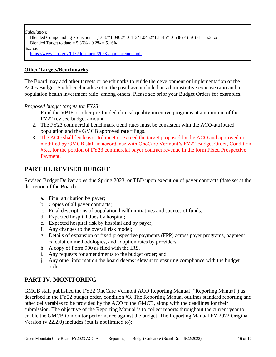*Calculation:*

```
Blended Compounding Projection = (1.037*1.0402*1.0413*1.0452*1.1146*1.0538) ^ (1/6) -1 = 5.36%
Blended Target to date = 5.36\% - 0.2\% = 5.16\%Source:
https://www.cms.gov/files/document/2023-announcement.pdf
```
#### <span id="page-15-0"></span>**Other Targets/Benchmarks**

The Board may add other targets or benchmarks to guide the development or implementation of the ACOs Budget. Such benchmarks set in the past have included an administrative expense ratio and a population health investment ratio, among others. Please see prior year Budget Orders for examples.

*Proposed budget targets for FY23:*

- 1. Fund the VBIF or other pre-funded clinical quality incentive programs at a minimum of the FY22 revised budget amount.
- 2. The FY23 commercial benchmark trend rates must be consistent with the ACO-attributed population and the GMCB approved rate filings.
- 3. The ACO shall [endeavor to] meet or exceed the target proposed by the ACO and approved or modified by GMCB staff in accordance with OneCare Vermont's FY22 Budget Order, Condition #3.a, for the portion of FY23 commercial payer contract revenue in the form Fixed Prospective Payment.

### <span id="page-15-1"></span>**PART III. REVISED BUDGET**

Revised Budget Deliverables due Spring 2023, or TBD upon execution of payer contracts (date set at the discretion of the Board):

- a. Final attribution by payer;
- b. Copies of all payer contracts;
- c. Final descriptions of population health initiatives and sources of funds;
- d. Expected hospital dues by hospital;
- e. Expected hospital risk by hospital and by payer;
- f. Any changes to the overall risk model;
- g. Details of expansion of fixed prospective payments (FPP) across payer programs, payment calculation methodologies, and adoption rates by providers;
- h. A copy of Form 990 as filed with the IRS.
- i. Any requests for amendments to the budget order; and
- j. Any other information the board deems relevant to ensuring compliance with the budget order.

### <span id="page-15-2"></span>**PART IV. MONITORING**

GMCB staff published the FY22 OneCare Vermont ACO Reporting Manual ("Reporting Manual") as described in the FY22 budget order, condition #3. The Reporting Manual outlines standard reporting and other deliverables to be provided by the ACO to the GMCB, along with the deadlines for their submission. The objective of the Reporting Manual is to collect reports throughout the current year to enable the GMCB to monitor performance against the budget. The Reporting Manual FY 2022 Original Version (v.22.2.0) includes (but is not limited to):